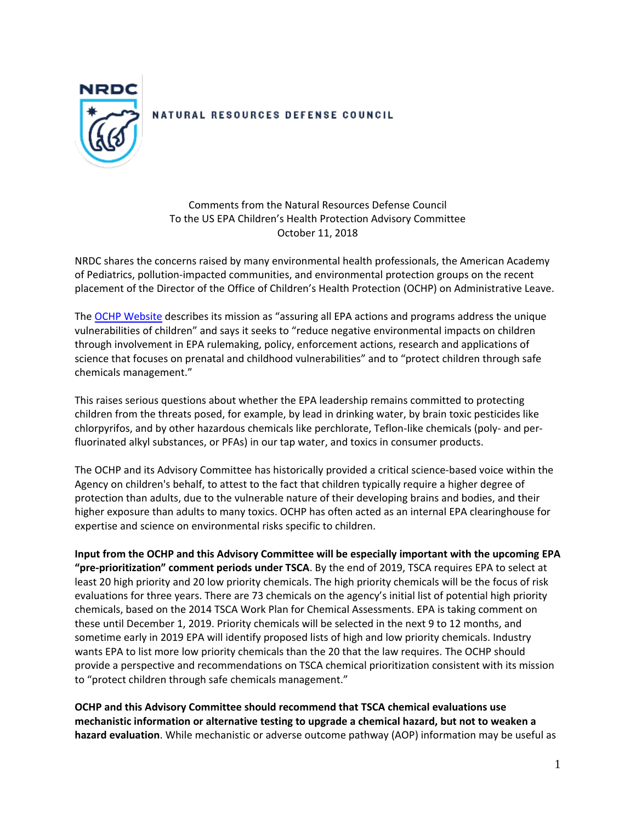

## NATURAL RESOURCES DEFENSE COUNCIL

Comments from the Natural Resources Defense Council To the US EPA Children's Health Protection Advisory Committee October 11, 2018

NRDC shares the concerns raised by many environmental health professionals, the American Academy of Pediatrics, pollution-impacted communities, and environmental protection groups on the recent placement of the Director of the Office of Children's Health Protection (OCHP) on Administrative Leave.

The [OCHP Website](https://19january2017snapshot.epa.gov/aboutepa/about-office-childrens-health-protection-ochp_.html) describes its mission as "assuring all EPA actions and programs address the unique vulnerabilities of children" and says it seeks to "reduce negative environmental impacts on children through involvement in EPA rulemaking, policy, enforcement actions, research and applications of science that focuses on prenatal and childhood vulnerabilities" and to "protect children through safe chemicals management."

This raises serious questions about whether the EPA leadership remains committed to protecting children from the threats posed, for example, by lead in drinking water, by brain toxic pesticides like chlorpyrifos, and by other hazardous chemicals like perchlorate, Teflon-like chemicals (poly- and perfluorinated alkyl substances, or PFAs) in our tap water, and toxics in consumer products.

The OCHP and its Advisory Committee has historically provided a critical science-based voice within the Agency on children's behalf, to attest to the fact that children typically require a higher degree of protection than adults, due to the vulnerable nature of their developing brains and bodies, and their higher exposure than adults to many toxics. OCHP has often acted as an internal EPA clearinghouse for expertise and science on environmental risks specific to children.

**Input from the OCHP and this Advisory Committee will be especially important with the upcoming EPA "pre-prioritization" comment periods under TSCA**. By the end of 2019, TSCA requires EPA to select at least 20 high priority and 20 low priority chemicals. The high priority chemicals will be the focus of risk evaluations for three years. There are 73 chemicals on the agency's initial list of potential high priority chemicals, based on the 2014 TSCA Work Plan for Chemical Assessments. EPA is taking comment on these until December 1, 2019. Priority chemicals will be selected in the next 9 to 12 months, and sometime early in 2019 EPA will identify proposed lists of high and low priority chemicals. Industry wants EPA to list more low priority chemicals than the 20 that the law requires. The OCHP should provide a perspective and recommendations on TSCA chemical prioritization consistent with its mission to "protect children through safe chemicals management."

**OCHP and this Advisory Committee should recommend that TSCA chemical evaluations use mechanistic information or alternative testing to upgrade a chemical hazard, but not to weaken a hazard evaluation**. While mechanistic or adverse outcome pathway (AOP) information may be useful as